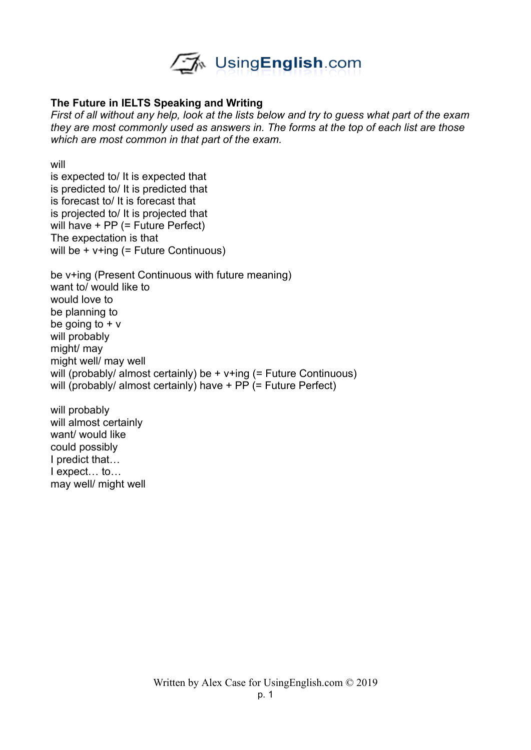

## **The Future in IELTS Speaking and Writing**

*First of all without any help, look at the lists below and try to guess what part of the exam they are most commonly used as answers in. The forms at the top of each list are those which are most common in that part of the exam.* 

will

is expected to/ It is expected that is predicted to/ It is predicted that is forecast to/ It is forecast that is projected to/ It is projected that will have + PP (= Future Perfect) The expectation is that will be + v+ing (= Future Continuous)

be v+ing (Present Continuous with future meaning) want to/ would like to would love to be planning to be going to  $+$  v will probably might/ may might well/ may well will (probably/ almost certainly) be + v+ing (= Future Continuous) will (probably/ almost certainly) have + PP (= Future Perfect)

will probably will almost certainly want/ would like could possibly I predict that… I expect… to… may well/ might well